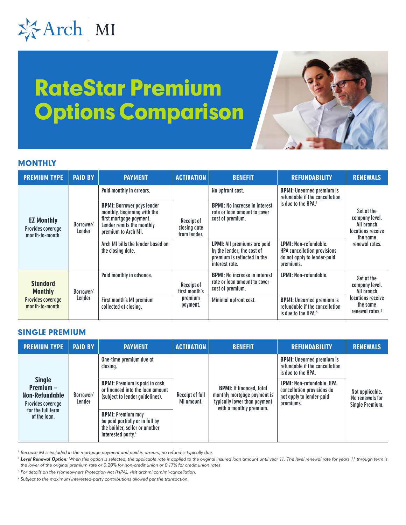# 岑Arch | MI

# RateStar Premium Options Comparison



### **MONTHLY**

| <b>PREMIUM TYPE</b>                                                              | <b>PAID BY</b>      | <b>PAYMENT</b>                                                                                                                                  | <b>ACTIVATION</b>                                  | <b>BENEFIT</b>                                                                                                    | <b>REFUNDABILITY</b>                                                                                           | <b>RENEWALS</b>                                                                                            |
|----------------------------------------------------------------------------------|---------------------|-------------------------------------------------------------------------------------------------------------------------------------------------|----------------------------------------------------|-------------------------------------------------------------------------------------------------------------------|----------------------------------------------------------------------------------------------------------------|------------------------------------------------------------------------------------------------------------|
| <b>EZ Monthly</b><br>Provides coverage<br>month-to-month.                        | Borrower/<br>Lender | Paid monthly in arrears.                                                                                                                        | Receipt of<br>closing date<br>from lender.         | No upfront cost.                                                                                                  | <b>BPMI:</b> Unearned premium is<br>refundable if the cancellation<br>is due to the HPA. <sup>1</sup>          | Set at the<br>company level.<br>All branch<br>locations receive<br>the same<br>renewal rates.              |
|                                                                                  |                     | <b>BPMI:</b> Borrower pays lender<br>monthly, beginning with the<br>first mortgage payment.<br>Lender remits the monthly<br>premium to Arch MI. |                                                    | <b>BPMI:</b> No increase in interest<br>rate or loan amount to cover<br>cost of premium.                          |                                                                                                                |                                                                                                            |
|                                                                                  |                     | Arch MI bills the lender based on<br>the closing date.                                                                                          |                                                    | <b>LPMI:</b> All premiums are paid<br>by the lender; the cost of<br>premium is reflected in the<br>interest rate. | <b>LPMI: Non-refundable.</b><br><b>HPA</b> cancellation provisions<br>do not apply to lender-paid<br>premiums. |                                                                                                            |
| <b>Standard</b><br><b>Monthly</b><br><b>Provides coverage</b><br>month-to-month. | Borrower/<br>Lender | Paid monthly in advance.                                                                                                                        | Receipt of<br>first month's<br>premium<br>payment. | <b>BPMI:</b> No increase in interest<br>rate or loan amount to cover<br>cost of premium.                          | <b>LPMI: Non-refundable.</b>                                                                                   | Set at the<br>company level.<br>All branch<br>locations receive<br>the same<br>renewal rates. <sup>2</sup> |
|                                                                                  |                     | First month's MI premium<br>collected at closing.                                                                                               |                                                    | Minimal upfront cost.                                                                                             | <b>BPMI:</b> Unearned premium is<br>refundable if the cancellation<br>is due to the HPA. $3$                   |                                                                                                            |

#### SINGLE PREMIUM

| <b>PREMIUM TYPE</b>                                                                                             | <b>PAID BY</b>      | <b>PAYMENT</b>                                                                                                                  | <b>ACTIVATION</b>             | <b>BENEFIT</b>                                                                                                            | <b>REFUNDABILITY</b>                                                                                                                                                                                | <b>RENEWALS</b>                                       |
|-----------------------------------------------------------------------------------------------------------------|---------------------|---------------------------------------------------------------------------------------------------------------------------------|-------------------------------|---------------------------------------------------------------------------------------------------------------------------|-----------------------------------------------------------------------------------------------------------------------------------------------------------------------------------------------------|-------------------------------------------------------|
| <b>Single</b><br>$Premium -$<br><b>Non-Refundable</b><br>Provides coverage<br>for the full term<br>of the loan. | Borrower/<br>Lender | One-time premium due at<br>closing.                                                                                             | Receipt of full<br>MI amount. |                                                                                                                           | <b>BPMI:</b> Unearned premium is<br>refundable if the cancellation<br>is due to the HPA.<br><b>LPMI: Non-refundable, HPA</b><br>cancellation provisions do<br>not apply to lender-paid<br>premiums. | Not applicable.<br>No renewals for<br>Single Premium. |
|                                                                                                                 |                     | <b>BPMI:</b> Premium is paid in cash<br>or financed into the loan amount<br>(subject to lender guidelines).                     |                               | <b>BPMI:</b> If financed, total<br>monthly mortgage payment is<br>typically lower than payment<br>with a monthly premium. |                                                                                                                                                                                                     |                                                       |
|                                                                                                                 |                     | <b>BPMI: Premium may</b><br>be paid partially or in full by<br>the builder, seller or another<br>interested party. <sup>4</sup> |                               |                                                                                                                           |                                                                                                                                                                                                     |                                                       |

*1 Because MI is included in the mortgage payment and paid in arrears, no refund is typically due.*

<sup>2</sup> Level Renewal Option: When this option is selected, the applicable rate is applied to the original insured loan amount until year 11. The level renewal rate for years 11 through term is *the lower of the original premium rate or 0.20% for non-credit union or 0.17% for credit union rates.*

*3 For details on the Homeowners Protection Act (HPA), visit [archmi.com/mi-cancellation](http://archmi.com/mi-cancellation).*

*4 Subject to the maximum interested-party contributions allowed per the transaction.*